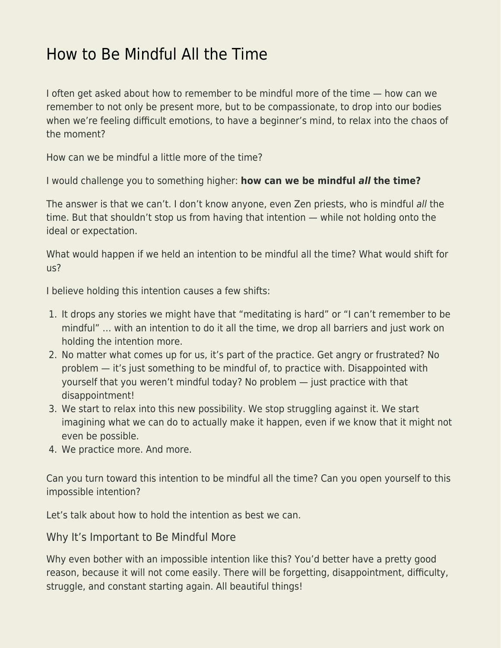## [How to Be Mindful All the Time](https://everything-voluntary.com/how-to-be-mindful-all-the-time)

I often get asked about how to remember to be mindful more of the time — how can we remember to not only be present more, but to be compassionate, to drop into our bodies when we're feeling difficult emotions, to have a beginner's mind, to relax into the chaos of the moment?

How can we be mindful a little more of the time?

I would challenge you to something higher: **how can we be mindful** *all* **the time?**

The answer is that we can't. I don't know anyone, even Zen priests, who is mindful all the time. But that shouldn't stop us from having that intention — while not holding onto the ideal or expectation.

What would happen if we held an intention to be mindful all the time? What would shift for us?

I believe holding this intention causes a few shifts:

- 1. It drops any stories we might have that "meditating is hard" or "I can't remember to be mindful" … with an intention to do it all the time, we drop all barriers and just work on holding the intention more.
- 2. No matter what comes up for us, it's part of the practice. Get angry or frustrated? No problem — it's just something to be mindful of, to practice with. Disappointed with yourself that you weren't mindful today? No problem — just practice with that disappointment!
- 3. We start to relax into this new possibility. We stop struggling against it. We start imagining what we can do to actually make it happen, even if we know that it might not even be possible.
- 4. We practice more. And more.

Can you turn toward this intention to be mindful all the time? Can you open yourself to this impossible intention?

Let's talk about how to hold the intention as best we can.

Why It's Important to Be Mindful More

Why even bother with an impossible intention like this? You'd better have a pretty good reason, because it will not come easily. There will be forgetting, disappointment, difficulty, struggle, and constant starting again. All beautiful things!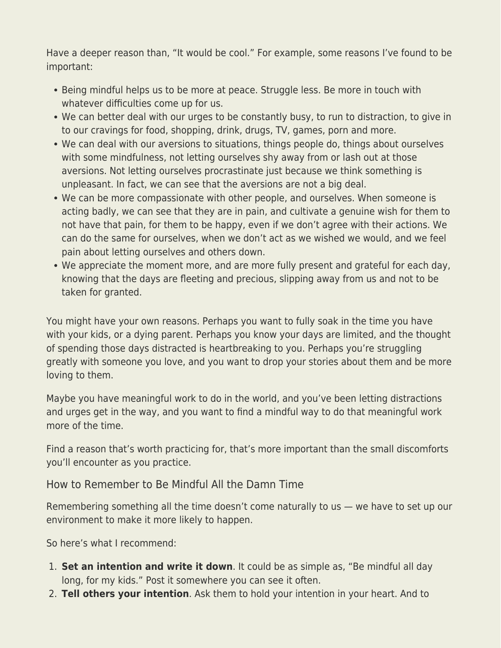Have a deeper reason than, "It would be cool." For example, some reasons I've found to be important:

- Being mindful helps us to be more at peace. Struggle less. Be more in touch with whatever difficulties come up for us.
- We can better deal with our urges to be constantly busy, to run to distraction, to give in to our cravings for food, shopping, drink, drugs, TV, games, porn and more.
- We can deal with our aversions to situations, things people do, things about ourselves with some mindfulness, not letting ourselves shy away from or lash out at those aversions. Not letting ourselves procrastinate just because we think something is unpleasant. In fact, we can see that the aversions are not a big deal.
- We can be more compassionate with other people, and ourselves. When someone is acting badly, we can see that they are in pain, and cultivate a genuine wish for them to not have that pain, for them to be happy, even if we don't agree with their actions. We can do the same for ourselves, when we don't act as we wished we would, and we feel pain about letting ourselves and others down.
- We appreciate the moment more, and are more fully present and grateful for each day, knowing that the days are fleeting and precious, slipping away from us and not to be taken for granted.

You might have your own reasons. Perhaps you want to fully soak in the time you have with your kids, or a dying parent. Perhaps you know your days are limited, and the thought of spending those days distracted is heartbreaking to you. Perhaps you're struggling greatly with someone you love, and you want to drop your stories about them and be more loving to them.

Maybe you have meaningful work to do in the world, and you've been letting distractions and urges get in the way, and you want to find a mindful way to do that meaningful work more of the time.

Find a reason that's worth practicing for, that's more important than the small discomforts you'll encounter as you practice.

How to Remember to Be Mindful All the Damn Time

Remembering something all the time doesn't come naturally to us — we have to set up our environment to make it more likely to happen.

So here's what I recommend:

- 1. **Set an intention and write it down**. It could be as simple as, "Be mindful all day long, for my kids." Post it somewhere you can see it often.
- 2. **Tell others your intention**. Ask them to hold your intention in your heart. And to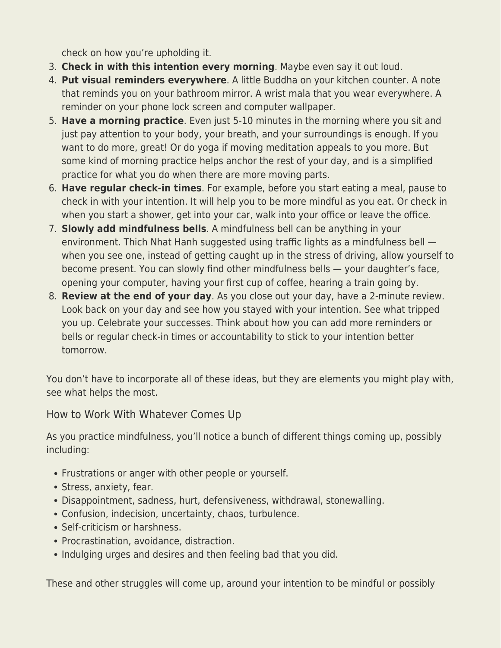check on how you're upholding it.

- 3. **Check in with this intention every morning**. Maybe even say it out loud.
- 4. **Put visual reminders everywhere**. A little Buddha on your kitchen counter. A note that reminds you on your bathroom mirror. A wrist mala that you wear everywhere. A reminder on your phone lock screen and computer wallpaper.
- 5. **Have a morning practice**. Even just 5-10 minutes in the morning where you sit and just pay attention to your body, your breath, and your surroundings is enough. If you want to do more, great! Or do yoga if moving meditation appeals to you more. But some kind of morning practice helps anchor the rest of your day, and is a simplified practice for what you do when there are more moving parts.
- 6. **Have regular check-in times**. For example, before you start eating a meal, pause to check in with your intention. It will help you to be more mindful as you eat. Or check in when you start a shower, get into your car, walk into your office or leave the office.
- 7. **Slowly add mindfulness bells**. A mindfulness bell can be anything in your environment. Thich Nhat Hanh suggested using traffic lights as a mindfulness bell when you see one, instead of getting caught up in the stress of driving, allow yourself to become present. You can slowly find other mindfulness bells — your daughter's face, opening your computer, having your first cup of coffee, hearing a train going by.
- 8. **Review at the end of your day**. As you close out your day, have a 2-minute review. Look back on your day and see how you stayed with your intention. See what tripped you up. Celebrate your successes. Think about how you can add more reminders or bells or regular check-in times or accountability to stick to your intention better tomorrow.

You don't have to incorporate all of these ideas, but they are elements you might play with, see what helps the most.

How to Work With Whatever Comes Up

As you practice mindfulness, you'll notice a bunch of different things coming up, possibly including:

- Frustrations or anger with other people or yourself.
- Stress, anxiety, fear.
- Disappointment, sadness, hurt, defensiveness, withdrawal, stonewalling.
- Confusion, indecision, uncertainty, chaos, turbulence.
- Self-criticism or harshness.
- Procrastination, avoidance, distraction.
- Indulging urges and desires and then feeling bad that you did.

These and other struggles will come up, around your intention to be mindful or possibly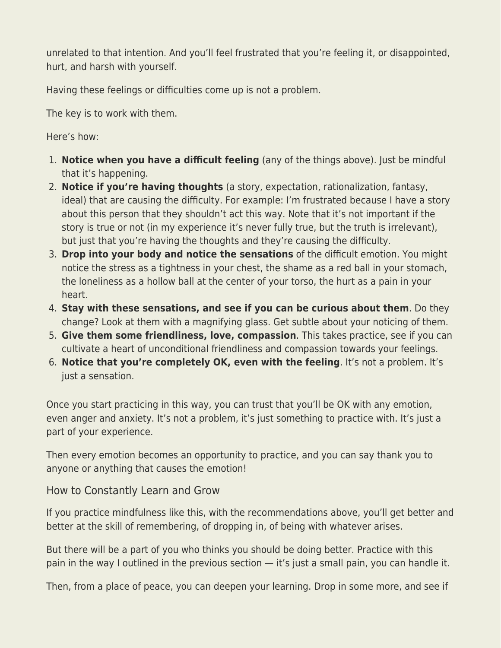unrelated to that intention. And you'll feel frustrated that you're feeling it, or disappointed, hurt, and harsh with yourself.

Having these feelings or difficulties come up is not a problem.

The key is to work with them.

Here's how:

- 1. **Notice when you have a difficult feeling** (any of the things above). Just be mindful that it's happening.
- 2. **Notice if you're having thoughts** (a story, expectation, rationalization, fantasy, ideal) that are causing the difficulty. For example: I'm frustrated because I have a story about this person that they shouldn't act this way. Note that it's not important if the story is true or not (in my experience it's never fully true, but the truth is irrelevant), but just that you're having the thoughts and they're causing the difficulty.
- 3. **Drop into your body and notice the sensations** of the difficult emotion. You might notice the stress as a tightness in your chest, the shame as a red ball in your stomach, the loneliness as a hollow ball at the center of your torso, the hurt as a pain in your heart.
- 4. **Stay with these sensations, and see if you can be curious about them**. Do they change? Look at them with a magnifying glass. Get subtle about your noticing of them.
- 5. **Give them some friendliness, love, compassion**. This takes practice, see if you can cultivate a heart of unconditional friendliness and compassion towards your feelings.
- 6. **Notice that you're completely OK, even with the feeling**. It's not a problem. It's just a sensation.

Once you start practicing in this way, you can trust that you'll be OK with any emotion, even anger and anxiety. It's not a problem, it's just something to practice with. It's just a part of your experience.

Then every emotion becomes an opportunity to practice, and you can say thank you to anyone or anything that causes the emotion!

How to Constantly Learn and Grow

If you practice mindfulness like this, with the recommendations above, you'll get better and better at the skill of remembering, of dropping in, of being with whatever arises.

But there will be a part of you who thinks you should be doing better. Practice with this pain in the way I outlined in the previous section — it's just a small pain, you can handle it.

Then, from a place of peace, you can deepen your learning. Drop in some more, and see if